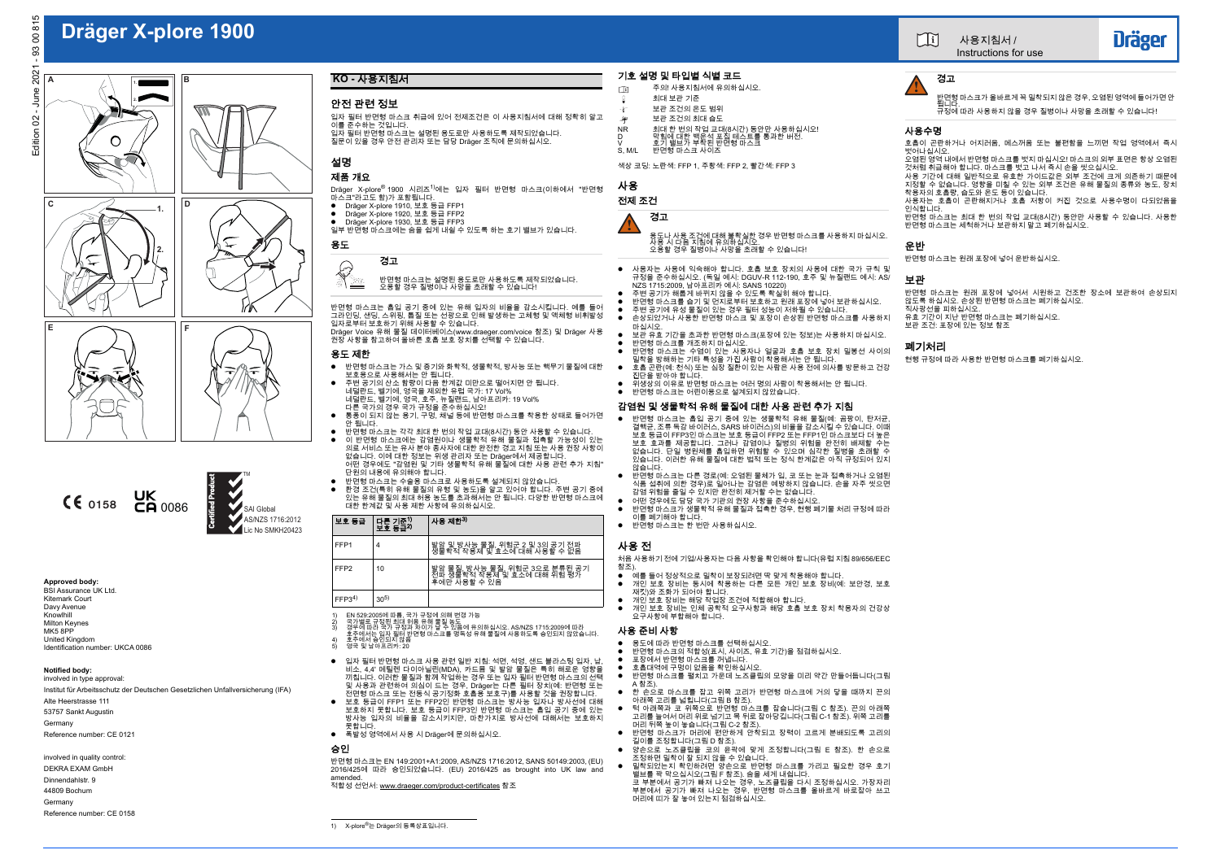

# **Dräger X-plore 1900**

BSI Assurance UK Ltd.Kitemark CourtDavy Avenue Knowlhill Milton Keynes MK5 8PPUnited Kingdom Identification number: UKCA 0086



## **Approved body:**

#### **Notified body:** involved in type approval:

Institut für Arbeitsschutz der Deutschen Gesetzlichen Unfallversicherung (IFA)

Alte Heerstrasse 111

 $D$ räger X-plore® 1900 시리즈 $^{1)}$ 에는 입자 필터 반면형 마스크(이하에서 "반면형 마스크"라고도 함)가 포함됩니다.

53757 Sankt Augustin Germany

Reference number: CE 0121

involved in quality control: DEKRA EXAM GmbH

- Dräger X-plore 1910, 보호 등급 FFP1
- 0 Dräger X-plore 1920, 보호 등급 FFP2
- Dräger X-plore 1930, 보호 등급 FFP3
- 일부 반면형 마스크에는 숨을 쉽게 내쉴 수 있도록 하는 호기 밸브가 있습니다.

Dinnendahlstr. 9

44809 Bochum

Germany

Reference number: CE 0158

## 안전 관련 정보

- 입자 필터 반면형 마스크 취급에 있어 전제조건은 이 사용지침서에 대해 정확히 알고 이를 준수하는 것입니다. 입자 필터 반면형 마스크는 설명된 용도로만 사용하도록 제작되었습니다.
- 질문이 있을 경우 안전 관리자 또는 담당 Dräger 조직에 문의하십시오.
- 

## 설명

## 제품 개요

### 용도

반면형 마스크는 흡입 공기 중에 있는 유해 입자의 비율을 감소시킵니다. 예를 들어 그라인딩, 샌딩, 스위핑, 톱질 또는 선광으로 인해 발생하는 고체형 및 액체형 비휘발성입자로부터 보호하기 위해 사용할 수 있습니다. Dräger Voice 유해 물질 데이터베이스(www.draeger.com/voice 참조) 및 Dräger 사용

- 
- 입자 필터 반면형 마스크 사용 관련 일반 지침: 석면, 석영, 샌드 블라스팅 입자, 납, 비소, 4,4' 메틸렌 다이아닐린(MDA), 카드뮴 및 발암 물질은 특히 해로운 영향을 끼칩니다. 이러한 물질과 함께 작업하는 경우 또는 입자 필터 반면형 마스크의 선택 및 사용과 관련하여 의심이 드는 경우, Dräger는 다른 필터 장치(예: 반면형 또는
- 전면형 마스크 또는 전동식 공기정화 호흡용 보호구)를 사용할 것을 권장합니다. 보호 등급이 FFP1 또는 FFP2인 반면형 마스크는 방사능 입자나 방사선에 대해 보호하지 못합니다. 보호 등급이 FFP3인 반면형 마스크는 흡입 공기 중에 있는 0 방사능 입자의 비율을 감소시키지만, 마찬가지로 방사선에 대해서는 보호하지 못합니다.
- 폭발성 영역에서 사용 시 Dräger에 문의하십시오.

권장 사항을 참고하여 올바른 호흡 보호 장치를 선택할 수 있습니다.

## 용도 제한

- 
- 사용자는 사용에 익숙해야 합니다. 호흡 보호 장치의 사용에 대한 국가 규칙 및 규정을 준수하십시오. (독일 예시: DGUV-R 112-190, 호주 및 뉴질랜드 예시: AS/ NZS 1715:2009, 남아프리카 예시: SANS 10220)
- 주변 공기가 해롭게 바뀌지 않을 수 있도록 확실히 해야 합니다.
- 반면형 마스크를 습기 및 먼지로부터 보호하고 원래 포장에 넣어 보관하십시오.
- 0 주변 공기에 유성 물질이 있는 경우 필터 성능이 저하될 수 있습니다.  $\blacktriangle$
- 손상되었거나 사용한 반면형 마스크 및 포장이 손상된 반면형 마스크를 사용하지 마십시오.
- 0 ● 보관 유효 기간을 초과한 반면형 마스크(포장에 있는 정보)는 사용하지 마십시오.<br>● 반면형 마스크를 개조하지 마십시오.
- . . 반면형 마스크는 수염이 있는 사용자나 얼굴과 호흡 보호 장치 밀봉선 사이의
- 밀착을 방해하는 기타 특성을 가진 사람이 착용해서는 안 됩니다. 호흡 곤란(예: 천식) 또는 심장 질환이 있는 사람은 사용 전에 의사를 방문하고 건강  $\bullet$ 진단을 받아야 합니다.
- . ● 위생상의 이유로 반면형 마스크는 여러 명의 사람이 착용해서는 안 됩니다.
- . ● 반면형 마스크는 어린이용으로 설계되지 않았습니다.
- 반면형 마스크는 가스 및 증기와 화학적, 생물학적, 방사능 또는 핵무기 물질에 대한 보호용으로 사용해서는 안 됩니다. 0
- 0 주변 공기의 산소 함량이 다음 한계값 미만으로 떨어지면 안 됩니다. 네덜란드, 벨기에, 영국을 제외한 유럽 국가: 17 Vol% 네덜란드, 벨기에, 영국, 호주, 뉴질랜드, 남아프리카: 19 Vol% 다른 국가의 경우 국가 규정을 준수하십시오!
- $\bullet$  통풍이 되지 않는 용기, 구멍, 채널 등에 반면형 마스크를 착용한 상태로 들어가면 안 됩니다.
- 0 반면형 마스크는 각각 최대 한 번의 작업 교대(8시간) 동안 사용할 수 있습니다.
- 0 이 반면형 마스크에는 감염원이나 생물학적 유해 물질과 접촉할 가능성이 있는 의료 서비스 또는 유사 분야 종사자에 대한 완전한 경고 지침 또는 사용 권장 사항이없습니다. 이에 대한 정보는 위생 관리자 또는 Dräger에서 제공합니다. 어떤 경우에도 "감염원 및 기타 생물학적 유해 물질에 대한 사용 관련 추가 지침" 단원의 내용에 유의해야 합니다.
- 0 는 드기 때문에 따라 하기 합니다.<br>- 반면형 마스크는 수술용 마스크로 사용하도록 설계되지 않았습니다
- 0 환경 조건(특히 유해 물질의 유형 및 농도)을 알고 있어야 합니다. 주변 공기 중에 있는 유해 물질의 최대 허용 농도를 초과해서는 안 됩니다. 다양한 반면형 마스크에 대한 한계값 및 사용 제한 사항에 유의하십시오.

#### 승인

반면형 마스크는 EN 149:2001+A1:2009, AS/NZS 1716:2012, SANS 50149:2003, (EU) 2016/425에 따라 승인되었습니다. (EU) 2016/425 as brought into UK law and amended.

적합성 선언서: www.draeger.com/product-certificates 참조

## 기호 설명 및 타입별 식별 코드

- 주의! 사용지침서에 유의하십시오.  $\Box$
- 최대 보관 기준- A
- 보관 조건의 온도 범위
- 보관 조건의 최대 습도 $\mathcal{L}$
- .<br>NR 최대 한 번의 작업 교대(8시간) 동안만 사용하십시오!<br>D 학기 밸브가 부착된 반면형 마스크
- 
- S, M/L 반면형 마스크 사이즈

색상 코딩: 노란색: FFP 1, 주황색: FFP 2, 빨간색: FFP 3

사용

.

.

## 전제 조건

반면형 마스크는 설명된 용도로만 사용하도록 제작되었습니다. 오용할 경우 질병이나 사망을 초래할 수 있습니다!  $\frac{1}{2}$ 

### 감염원 및 생물학적 유해 물질에 대한 사용 관련 추가 지침

- $\bullet$  반면형 마스크는 흡입 공기 중에 있는 생물학적 유해 물질(예: 곰팡이, 탄저균, 결핵균, 조류 독감 바이러스, SARS 바이러스)의 비율을 감소시킬 수 있습니다. 이때 보호 등급이 FFP3인 마스크는 보호 등급이 FFP2 또는 FFP1인 마스크보다 더 높은 보호 효과를 제공합니다. 그러나 감염이나 질병의 위험을 완전히 배제할 수는 없습니다. 단일 병원체를 흡입하면 위험할 수 있으며 심각한 질병을 초래할 수 있습니다. 이러한 유해 물질에 대한 법적 또는 정식 한계값은 아직 규정되어 있지 않습니다.
- . 반면형 마스크는 다른 경로(예: 오염된 물체가 입, 코 또는 눈과 접촉하거나 오염된 식품 섭취에 의한 경우)로 일어나는 감염은 예방하지 않습니다. 손을 자주 씻으면 감염 위험을 줄일 수 있지만 완전히 제거할 수는 없습니다.
- 어떤 경우에도 담당 국가 기관의 권장 사항을 준수하십시오.
- . 반면형 마스크가 생물학적 유해 물질과 접촉한 경우, 현행 폐기물 처리 규정에 따라 이를 폐기해야 합니다.
- 반면형 마스크는 한 번만 사용하십시오.

## 사용 전

0

처음 사용하기 전에 기업/사용자는 다음 사항을 확인해야 합니다(유럽 지침 89/656/EEC 참조).

- $\bullet$ \_*;*<br>\_예를 들어 정상적으로 밀착이 보장되려면 딱 맞게 착용해야 합니다.
	- $\bullet$  개인 보호 장비는 동시에 착용하는 다른 모든 개인 보호 장비(예: 보안경, 보호 재킷)와 조화가 되어야 합니다.
	- . 개인 보호 장비는 해당 작업장 조건에 적합해야 합니다.
	- . ● 개인 보호 장비는 인체 공학적 요구사항과 해당 호흡 보호 장치 착용자의 건강상<br>2. 요구사항에 부합해야 합니다.

#### 사용 준비 사항

.

.

.

- $\bullet$ 용도에 따라 반면형 마스크를 선택하십시오.
- . 반면형 마스크의 적합성(표시, 사이즈, 유효 기간)을 점검하십시오. 포장에서 반면형 마스크를 꺼냅니다.
- .

길이를 조정합니다(그림 D 참조).

양손으로 노즈클립을 코의 윤곽에 맞게 조정합니다(그림 E 참조). 한 손으로 조정하면 밀착이 잘 되지 않을 수 있습니다.

 밀착되었는지 확인하려면 양손으로 반면형 마스크를 가리고 필요한 경우 호기 밸브를 꽉 막으십시오(그림 F 참조). 숨을 세게 내쉽니다. 코 부분에서 공기가 빠져 나오는 경우, 노즈클립을 다시 조정하십시오. 가장자리 부분에서 공기가 빠져 나오는 경우, 반면형 마스크를 올바르게 바로잡아 쓰고

머리에 띠가 잘 놓여 있는지 점검하십시오.

- . 호흡대역에 구멍이 없음을 확인하십시오.
- $\bullet$  반면형 마스크를 펼치고 가운데 노즈클립의 모양을 미리 약간 만들어둡니다(그림 A 참조).
- $\bullet$  한 손으로 마스크를 잡고 위쪽 고리가 반면형 마스크에 거의 닿을 때까지 끈의아래쪽 고리를 넓힙니다(그림 B 참조).
- . 턱 아래쪽과 코 위쪽으로 반면형 마스크를 잡습니다(그림 C 참조). 끈의 아래쪽 고리를 늘여서 머리 위로 넘기고 목 뒤로 잡아당깁니다(그림 C-1 참조). 위쪽 고리를 머리 뒤쪽 높이 놓습니다(그림 C-2 참조). ● 반면형 마스크가 머리에 편안하게 안착되고 장력이 고르게 분배되도록 고리의

## 사용수명

호흡이 곤란하거나 어지러움, 메스꺼움 또는 불편함을 느끼면 작업 영역에서 즉시벗어나십시오.

오염된 영역 내에서 반면형 마스크를 벗지 마십시오! 마스크의 외부 표면은 항상 오염된 것처럼 취급해야 합니다. 마스크를 벗고 나서 즉시 손을 씻으십시오. .<br>사용 기간에 대해 일반적으로 유효한 가이드값은 외부 조건에 크게 의존하기 때문에 지정할 수 없습니다. 영향을 미칠 수 있는 외부 조건은 유해 물질의 종류와 농도, 장치착용자의 호흡량, 습도와 온도 등이 있습니다. 사용자는 호흡이 곤란해지거나 호흡 저항이 커진 것으로 사용수명이 다되었음을 인식합니다.

반면형 마스크는 최대 한 번의 작업 교대(8시간) 동안만 사용할 수 있습니다. 사용한 반면형 마스크는 세척하거나 보관하지 말고 폐기하십시오.

## 운반

반면형 마스크는 원래 포장에 넣어 운반하십시오.

## 보관

반면형 마스크는 원래 포장에 넣어서 시원하고 건조한 장소에 보관하여 손상되지 않도록 하십시오. 손상된 반면형 마스크는 폐기하십시오. 직사광선을 피하십시오.

유효 기간이 지난 반면형 마스크는 폐기하십시오.

보관 조건: 포장에 있는 정보 참조

## 폐기처리

현행 규정에 따라 사용한 반면형 마스크를 폐기하십시오.

**C**





**A**







 $\subset$ 

١ΔΚ

∓

## **KO -** 사용지침서

1) X-plore®는 Dräger의 등록상표입니다.



| 보호 등급             | 다른 기준 <sup>1)</sup><br>보호 등급 <sup>2)</sup> | 사용 제한 <sup>3)</sup>                                                         |
|-------------------|--------------------------------------------|-----------------------------------------------------------------------------|
| FFP <sub>1</sub>  | 4                                          | 발암 및 방사능 물질, 위험군 2 및 3의 공기 전파<br>생물학적 작용제 및 효소에 대해 사용할 수 없음                 |
| FFP <sub>2</sub>  | 10                                         | 발암 물질, 방사능 물질, 위험군 3으로 분류된 공기<br>전파 생물학적 작용제 및 효소에 대해 위험 평가<br>후에만 자용할 수 있음 |
| FFP3 <sup>4</sup> | $30^{5}$                                   |                                                                             |

1) EN 529:2005에 따름, 국가 규정에 의해 변경 가능<br>2) 국가별로 규정된 최대 허용 유해 물질 농도<br>3) 경우에서는 입자 필터 반면형 마스크를 맹독성 유해 물질에 사용하도록 승인되지 않았습니다.<br>4) 호주에서 승인되지 않음<br>5) 영국 및 남아프리카: 20

용도나 사용 조건에 대해 불확실한 경우 반면형 마스크를 사용하지 마십시오. 사용 시 다음 지침에 유의하십시오. 오용할 경우 질병이나 사망을 초래할 수 있습니다!



## 경고

반면형 마스크가 올바르게 꼭 밀착되지 않은 경우, 오염된 영역에 들어가면 안 됩니다. 규정에 따라 사용하지 않을 경우 질병이나 사망을 초래할 수 있습니다!

**!**